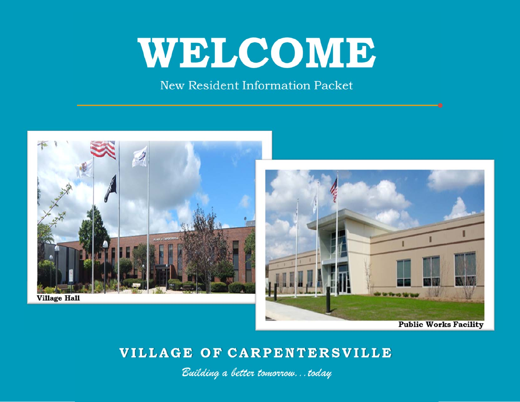# WELCOME

New Resident Information Packet



# VILLAGE OF CARPENTERSVILLE

Building a better tomorrow...today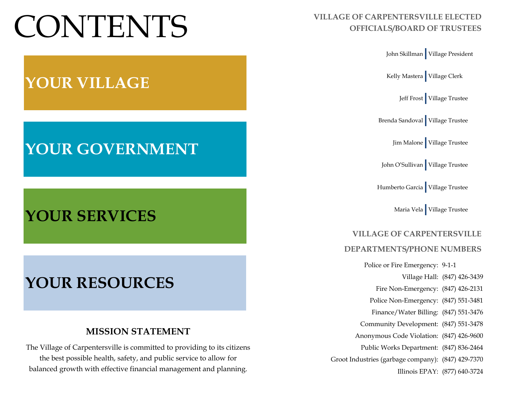# CONTENTS **VILLAGE OF CARPENTERSVILLE ELECTED OFFICIALS/BOARD OF TRUSTEES**



# **YOUR VILLAGE**

# **YOUR GOVERNMENT**

# **YOUR SERVICES**

# **YOUR RESOURCES**

# **MISSION STATEMENT**

The Village of Carpentersville is committed to providing to its citizens the best possible health, safety, and public service to allow for balanced growth with effective financial management and planning.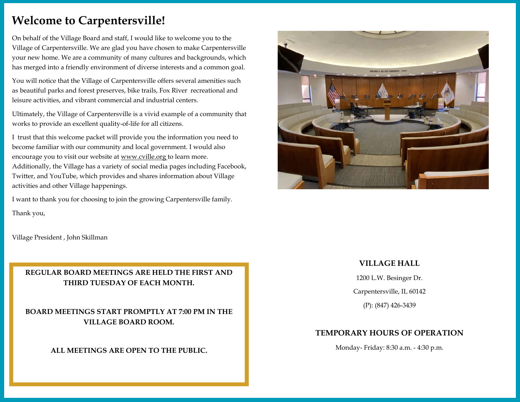# **Welcome to Carpentersville!**

On behalf of the Village Board and staff, I would like to welcome you to the Village of Carpentersville. We are glad you have chosen to make Carpentersville your new home. We are a community of many cultures and backgrounds, which has merged into a friendly environment of diverse interests and a common goal.

You will notice that the Village of Carpentersville offers several amenities such as beautiful parks and forest preserves, bike trails, Fox River recreational and leisure activities, and vibrant commercial and industrial centers.

Ultimately, the Village of Carpentersville is a vivid example of a community that works to provide an excellent quality-of-life for all citizens.

I trust that this welcome packet will provide you the information you need to become familiar with our community and local government. I would also encourage you to visit our website at www.cville.org to learn more. Additionally, the Village has a variety of social media pages including Facebook, Twitter, and YouTube, which provides and shares information about Village activities and other Village happenings.

I want to thank you for choosing to join the growing Carpentersville family. Thank you,

Village President , John Skillman

### **REGULAR BOARD MEETINGS ARE HELD THE FIRST AND THIRD TUESDAY OF EACH MONTH.**

**BOARD MEETINGS START PROMPTLY AT 7:00 PM IN THE VILLAGE BOARD ROOM.** 

### **ALL MEETINGS ARE OPEN TO THE PUBLIC.**



### **VILLAGE HALL**

1200 L.W. Besinger Dr.

Carpentersville, IL 60142

(P): (847) 426-3439

### **TEMPORARY HOURS OF OPERATION**

Monday- Friday: 8:30 a.m. - 4:30 p.m.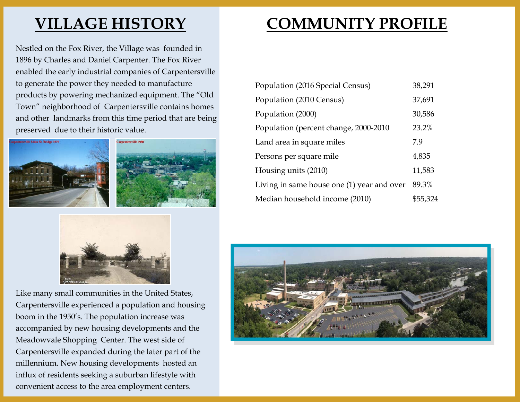# **VILLAGE HISTORY**

Nestled on the Fox River, the Village was founded in 1896 by Charles and Daniel Carpenter. The Fox River enabled the early industrial companies of Carpentersville to generate the power they needed to manufacture products by powering mechanized equipment. The "Old Town" neighborhood of Carpentersville contains homes and other landmarks from this time period that are being preserved due to their historic value.







Like many small communities in the United States, Carpentersville experienced a population and housing boom in the 1950's. The population increase was accompanied by new housing developments and the Meadowvale Shopping Center. The west side of Carpentersville expanded during the later part of the millennium. New housing developments hosted an influx of residents seeking a suburban lifestyle with convenient access to the area employment centers.

# **COMMUNITY PROFILE**

| Population (2016 Special Census)           | 38,291   |
|--------------------------------------------|----------|
| Population (2010 Census)                   | 37,691   |
| Population (2000)                          | 30,586   |
| Population (percent change, 2000-2010      | 23.2%    |
| Land area in square miles                  | 79       |
| Persons per square mile                    | 4,835    |
| Housing units (2010)                       | 11,583   |
| Living in same house one (1) year and over | 89.3%    |
| Median household income (2010)             | \$55,324 |

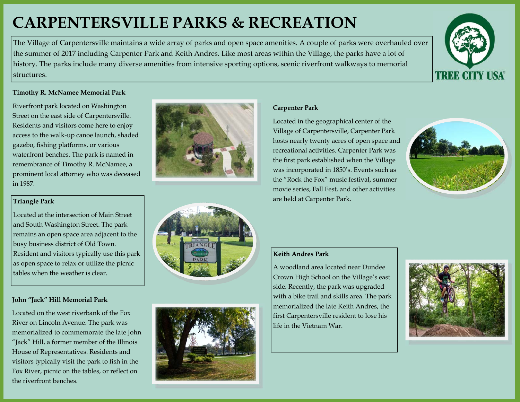# **CARPENTERSVILLE PARKS & RECREATION**

The Village of Carpentersville maintains a wide array of parks and open space amenities. A couple of parks were overhauled over the summer of 2017 including Carpenter Park and Keith Andres. Like most areas within the Village, the parks have a lot of history. The parks include many diverse amenities from intensive sporting options, scenic riverfront walkways to memorial structures.



#### **Timothy R. McNamee Memorial Park**

Riverfront park located on Washington Street on the east side of Carpentersville. Residents and visitors come here to enjoy access to the walk-up canoe launch, shaded gazebo, fishing platforms, or various waterfront benches. The park is named in remembrance of Timothy R. McNamee, a prominent local attorney who was deceased in 1987.

#### **Triangle Park**

Located at the intersection of Main Street and South Washington Street. The park remains an open space area adjacent to the busy business district of Old Town. Resident and visitors typically use this park as open space to relax or utilize the picnic tables when the weather is clear.

### **John "Jack" Hill Memorial Park**

Located on the west riverbank of the Fox River on Lincoln Avenue. The park was memorialized to commemorate the late John "Jack" Hill, a former member of the Illinois House of Representatives. Residents and visitors typically visit the park to fish in the Fox River, picnic on the tables, or reflect on the riverfront benches.







### **Carpenter Park**

Located in the geographical center of the Village of Carpentersville, Carpenter Park hosts nearly twenty acres of open space and recreational activities. Carpenter Park was the first park established when the Village was incorporated in 1850's. Events such as the "Rock the Fox" music festival, summer movie series, Fall Fest, and other activities are held at Carpenter Park.



### **Keith Andres Park**

A woodland area located near Dundee Crown High School on the Village's east side. Recently, the park was upgraded with a bike trail and skills area. The park memorialized the late Keith Andres, the first Carpentersville resident to lose his life in the Vietnam War.

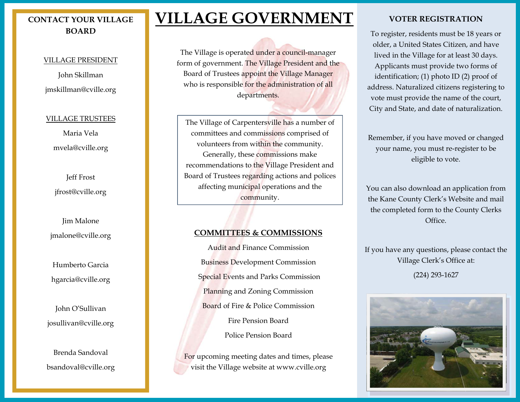# **CONTACT YOUR VILLAGE BOARD**

#### VILLAGE PRESIDENT

John Skillman jmskillman@cville.org

#### VILLAGE TRUSTEES

Maria Vela mvela@cville.org

Jeff Frost jfrost@cville.org

Jim Malone jmalone@cville.org

Humberto Garcia hgarcia@cville.org

John O'Sullivan josullivan@cville.org

Brenda Sandoval bsandoval@cville.org

# **VILLAGE GOVERNMENT**

The Village is operated under a council-manager form of government. The Village President and the Board of Trustees appoint the Village Manager who is responsible for the administration of all departments.

The Village of Carpentersville has a number of committees and commissions comprised of volunteers from within the community. Generally, these commissions make recommendations to the Village President and Board of Trustees regarding actions and polices affecting municipal operations and the community.

### **COMMITTEES & COMMISSIONS**

Audit and Finance Commission Business Development Commission Special Events and Parks Commission Planning and Zoning Commission Board of Fire & Police Commission Fire Pension Board Police Pension Board

For upcoming meeting dates and times, please visit the Village website at www.cville.org

### **VOTER REGISTRATION**

To register, residents must be 18 years or older, a United States Citizen, and have lived in the Village for at least 30 days. Applicants must provide two forms of identification; (1) photo ID (2) proof of address. Naturalized citizens registering to vote must provide the name of the court, City and State, and date of naturalization.

Remember, if you have moved or changed your name, you must re-register to be eligible to vote.

You can also download an application from the Kane County Clerk's Website and mail the completed form to the County Clerks Office.

If you have any questions, please contact the Village Clerk's Office at: (224) 293-1627

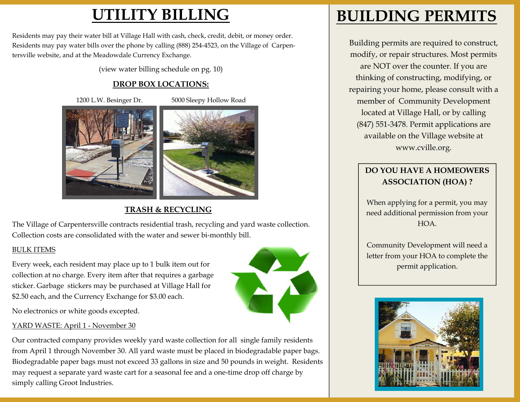# **UTILITY BILLING**

Residents may pay their water bill at Village Hall with cash, check, credit, debit, or money order. Residents may pay water bills over the phone by calling (888) 254-4523, on the Village of Carpentersville website, and at the Meadowdale Currency Exchange.

(view water billing schedule on pg. 10)

## **DROP BOX LOCATIONS:**

1200 L.W. Besinger Dr. 5000 Sleepy Hollow Road



**TRASH & RECYCLING** 

The Village of Carpentersville contracts residential trash, recycling and yard waste collection. Collection costs are consolidated with the water and sewer bi-monthly bill.

### BULK ITEMS

Every week, each resident may place up to 1 bulk item out for collection at no charge. Every item after that requires a garbage sticker. Garbage stickers may be purchased at Village Hall for \$2.50 each, and the Currency Exchange for \$3.00 each.



No electronics or white goods excepted.

### YARD WASTE: April 1 - November 30

Our contracted company provides weekly yard waste collection for all single family residents from April 1 through November 30. All yard waste must be placed in biodegradable paper bags. Biodegradable paper bags must not exceed 33 gallons in size and 50 pounds in weight. Residents may request a separate yard waste cart for a seasonal fee and a one-time drop off charge by simply calling Groot Industries.

# **BUILDING PERMITS**

Building permits are required to construct, modify, or repair structures. Most permits are NOT over the counter. If you are thinking of constructing, modifying, or repairing your home, please consult with a member of Community Development located at Village Hall, or by calling (847) 551-3478. Permit applications are available on the Village website at www.cville.org.

# **DO YOU HAVE A HOMEOWERS ASSOCIATION (HOA) ?**

When applying for a permit, you may need additional permission from your HOA.

Community Development will need a letter from your HOA to complete the permit application.

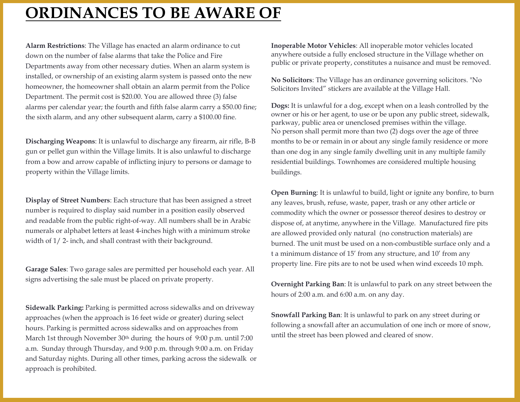# **ORDINANCES TO BE AWARE OF**

**Alarm Restrictions**: The Village has enacted an alarm ordinance to cut down on the number of false alarms that take the Police and Fire Departments away from other necessary duties. When an alarm system is installed, or ownership of an existing alarm system is passed onto the new homeowner, the homeowner shall obtain an alarm permit from the Police Department. The permit cost is \$20.00. You are allowed three (3) false alarms per calendar year; the fourth and fifth false alarm carry a \$50.00 fine; the sixth alarm, and any other subsequent alarm, carry a \$100.00 fine.

**Discharging Weapons**: It is unlawful to discharge any firearm, air rifle, B-B gun or pellet gun within the Village limits. It is also unlawful to discharge from a bow and arrow capable of inflicting injury to persons or damage to property within the Village limits.

**Display of Street Numbers**: Each structure that has been assigned a street number is required to display said number in a position easily observed and readable from the public right-of-way. All numbers shall be in Arabic numerals or alphabet letters at least 4-inches high with a minimum stroke width of 1/ 2- inch, and shall contrast with their background.

**Garage Sales**: Two garage sales are permitted per household each year. All signs advertising the sale must be placed on private property.

**Sidewalk Parking:** Parking is permitted across sidewalks and on driveway approaches (when the approach is 16 feet wide or greater) during select hours. Parking is permitted across sidewalks and on approaches from March 1st through November 30<sup>th</sup> during the hours of 9:00 p.m. until 7:00 a.m. Sunday through Thursday, and 9:00 p.m. through 9:00 a.m. on Friday and Saturday nights. During all other times, parking across the sidewalk or approach is prohibited.

**Inoperable Motor Vehicles**: All inoperable motor vehicles located anywhere outside a fully enclosed structure in the Village whether on public or private property, constitutes a nuisance and must be removed.

**No Solicitors**: The Village has an ordinance governing solicitors. "No Solicitors Invited" stickers are available at the Village Hall.

**Dogs:** It is unlawful for a dog, except when on a leash controlled by the owner or his or her agent, to use or be upon any public street, sidewalk, parkway, public area or unenclosed premises within the village. No person shall permit more than two (2) dogs over the age of three months to be or remain in or about any single family residence or more than one dog in any single family dwelling unit in any multiple family residential buildings. Townhomes are considered multiple housing buildings.

**Open Burning**: It is unlawful to build, light or ignite any bonfire, to burn any leaves, brush, refuse, waste, paper, trash or any other article or commodity which the owner or possessor thereof desires to destroy or dispose of, at anytime, anywhere in the Village. Manufactured fire pits are allowed provided only natural (no construction materials) are burned. The unit must be used on a non-combustible surface only and a t a minimum distance of 15' from any structure, and 10' from any property line. Fire pits are to not be used when wind exceeds 10 mph.

**Overnight Parking Ban**: It is unlawful to park on any street between the hours of 2:00 a.m. and 6:00 a.m. on any day.

**Snowfall Parking Ban**: It is unlawful to park on any street during or following a snowfall after an accumulation of one inch or more of snow, until the street has been plowed and cleared of snow.